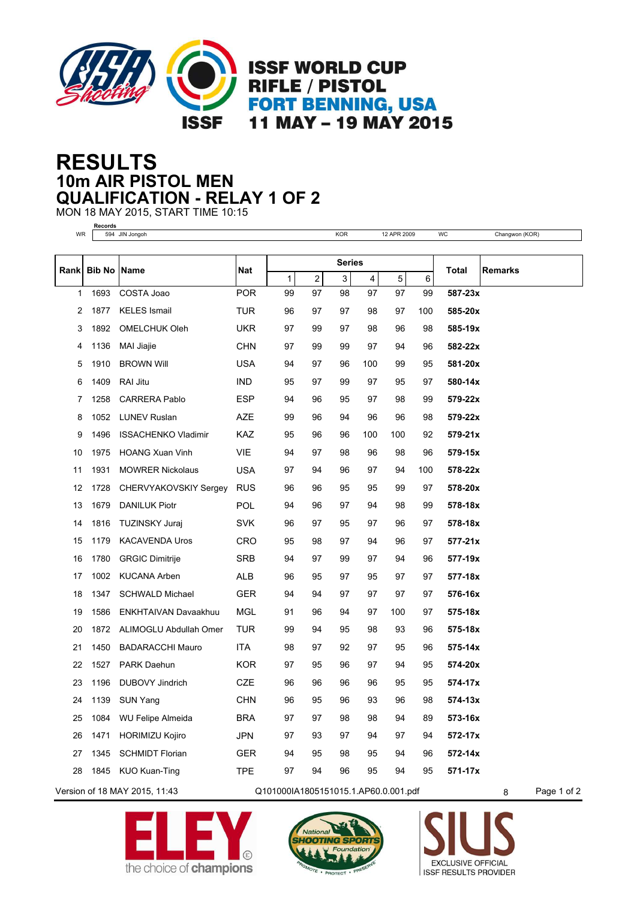

## **10m AIR PISTOL MEN RESULTS QUALIFICATION - RELAY 1 OF 2**

MON 18 MAY 2015, START TIME 10:15

**Records**

| WR   |                               | 594 JIN Jongoh             |                                      |                                                                   |    | <b>KOR</b> |                  | 12 APR 2009 |     | WC           | Changwon (KOR) |  |
|------|-------------------------------|----------------------------|--------------------------------------|-------------------------------------------------------------------|----|------------|------------------|-------------|-----|--------------|----------------|--|
|      |                               |                            |                                      |                                                                   |    |            |                  |             |     |              |                |  |
| Rank | <b>Bib No Name</b>            |                            | <b>Nat</b>                           | <b>Series</b><br>5<br>3<br>1<br>$\overline{\mathbf{c}}$<br>4<br>6 |    |            |                  |             |     | <b>Total</b> | <b>Remarks</b> |  |
| 1    | 1693                          | COSTA Joao                 | <b>POR</b>                           | 99                                                                | 97 | 98         | 97               | 97          | 99  | 587-23x      |                |  |
| 2    | 1877                          | <b>KELES</b> Ismail        | <b>TUR</b>                           | 96                                                                | 97 | 97         | 98               | 97          | 100 | 585-20x      |                |  |
| 3    | 1892                          | <b>OMELCHUK Oleh</b>       | <b>UKR</b>                           | 97                                                                | 99 | 97         | 98               | 96          | 98  | 585-19x      |                |  |
| 4    | 1136                          | MAI Jiajie                 | <b>CHN</b>                           | 97                                                                | 99 | 99         | 97               | 94          | 96  | 582-22x      |                |  |
| 5    | 1910                          | <b>BROWN Will</b>          | <b>USA</b>                           | 94                                                                | 97 | 96         | 100              | 99          | 95  | 581-20x      |                |  |
| 6    | 1409                          | RAI Jitu                   | <b>IND</b>                           | 95                                                                | 97 | 99         | 97               | 95          | 97  | 580-14x      |                |  |
| 7    | 1258                          | <b>CARRERA Pablo</b>       | <b>ESP</b>                           | 94                                                                | 96 | 95         | 97               | 98          | 99  | 579-22x      |                |  |
| 8    | 1052                          | <b>LUNEV Ruslan</b>        | AZE                                  | 99                                                                | 96 | 94         | 96               | 96          | 98  | 579-22x      |                |  |
| 9    | 1496                          | <b>ISSACHENKO Vladimir</b> | <b>KAZ</b>                           | 95                                                                | 96 | 96         | 100              | 100         | 92  | 579-21x      |                |  |
| 10   | 1975                          | <b>HOANG Xuan Vinh</b>     | <b>VIE</b>                           | 94                                                                | 97 | 98         | 96               | 98          | 96  | 579-15x      |                |  |
| 11   | 1931                          | <b>MOWRER Nickolaus</b>    | <b>USA</b>                           | 97                                                                | 94 | 96         | 97               | 94          | 100 | 578-22x      |                |  |
| 12   | 1728                          | CHERVYAKOVSKIY Sergey      | <b>RUS</b>                           | 96                                                                | 96 | 95         | 95               | 99          | 97  | 578-20x      |                |  |
| 13   | 1679                          | <b>DANILUK Piotr</b>       | POL                                  | 94                                                                | 96 | 97         | 94               | 98          | 99  | 578-18x      |                |  |
| 14   | 1816                          | TUZINSKY Juraj             | <b>SVK</b>                           | 96                                                                | 97 | 95         | 97               | 96          | 97  | 578-18x      |                |  |
| 15   | 1179                          | <b>KACAVENDA Uros</b>      | <b>CRO</b>                           | 95                                                                | 98 | 97         | 94               | 96          | 97  | 577-21x      |                |  |
| 16   | 1780                          | <b>GRGIC Dimitrije</b>     | <b>SRB</b>                           | 94                                                                | 97 | 99         | 97               | 94          | 96  | 577-19x      |                |  |
| 17   | 1002                          | <b>KUCANA Arben</b>        | ALB                                  | 96                                                                | 95 | 97         | 95               | 97          | 97  | 577-18x      |                |  |
| 18   | 1347                          | <b>SCHWALD Michael</b>     | <b>GER</b>                           | 94                                                                | 94 | 97         | 97               | 97          | 97  | 576-16x      |                |  |
| 19   | 1586                          | ENKHTAIVAN Davaakhuu       | MGL                                  | 91                                                                | 96 | 94         | 97               | 100         | 97  | 575-18x      |                |  |
| 20   | 1872                          | ALIMOGLU Abdullah Omer     | <b>TUR</b>                           | 99                                                                | 94 | 95         | 98               | 93          | 96  | 575-18x      |                |  |
| 21   | 1450                          | <b>BADARACCHI Mauro</b>    | <b>ITA</b>                           | 98                                                                | 97 | 92         | 97               | 95          | 96  | $575 - 14x$  |                |  |
| 22   | 1527                          | PARK Daehun                | KOR.                                 | 97                                                                | 95 | 96         | 97               | 94          | 95  | 574-20x      |                |  |
| 23   | 1196                          | <b>DUBOVY Jindrich</b>     | <b>CZE</b>                           | 96                                                                | 96 | 96         | 96               | 95          | 95  | 574-17x      |                |  |
| 24   | 1139                          | <b>SUN Yang</b>            | <b>CHN</b>                           | 96                                                                | 95 | 96         | 93               | 96          | 98  | 574-13x      |                |  |
| 25   | 1084                          | <b>WU Felipe Almeida</b>   | <b>BRA</b>                           | 97                                                                | 97 | 98         | 98               | 94          | 89  | 573-16x      |                |  |
| 26   | 1471                          | HORIMIZU Kojiro            | <b>JPN</b>                           | 97                                                                | 93 | 97         | 94               | 97          | 94  | 572-17x      |                |  |
| 27   | 1345                          | <b>SCHMIDT Florian</b>     | <b>GER</b>                           | 94                                                                | 95 | 98         | 95               | 94          | 96  | 572-14x      |                |  |
| 28   |                               | 1845 KUO Kuan-Ting         | <b>TPE</b>                           | 97                                                                | 94 | 96         | 95               | 94          | 95  | 571-17x      |                |  |
|      | Version of 18 MAY 2015, 11:43 |                            | Q101000IA1805151015.1.AP60.0.001.pdf |                                                                   |    |            | Page 1 of 2<br>8 |             |     |              |                |  |